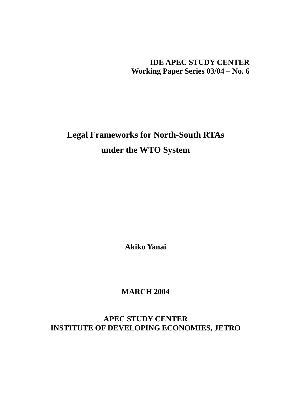**IDE APEC STUDY CENTER Working Paper Series 03/04 – No. 6** 

**Legal Frameworks for North-South RTAs under the WTO System** 

**Akiko Yanai** 

**MARCH 2004** 

**APEC STUDY CENTER INSTITUTE OF DEVELOPING ECONOMIES, JETRO**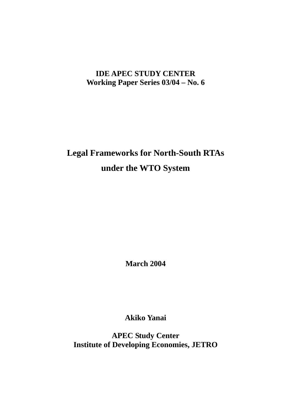## **IDE APEC STUDY CENTER Working Paper Series 03/04 – No. 6**

# **Legal Frameworks for North-South RTAs under the WTO System**

**March 2004** 

**Akiko Yanai** 

**APEC Study Center Institute of Developing Economies, JETRO**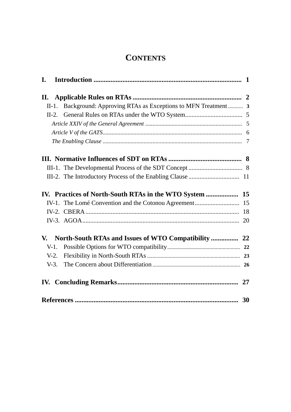## **CONTENTS**

| I.       |                                                              |  |
|----------|--------------------------------------------------------------|--|
|          |                                                              |  |
| $II-1$ . | Background: Approving RTAs as Exceptions to MFN Treatment  3 |  |
|          |                                                              |  |
|          |                                                              |  |
|          |                                                              |  |
|          |                                                              |  |
|          |                                                              |  |
|          |                                                              |  |
|          |                                                              |  |
|          |                                                              |  |
|          |                                                              |  |
|          |                                                              |  |
|          |                                                              |  |
|          |                                                              |  |
|          |                                                              |  |
| $V-1$ .  |                                                              |  |
| $V-2.$   |                                                              |  |
| $V-3$ .  |                                                              |  |
|          |                                                              |  |
|          |                                                              |  |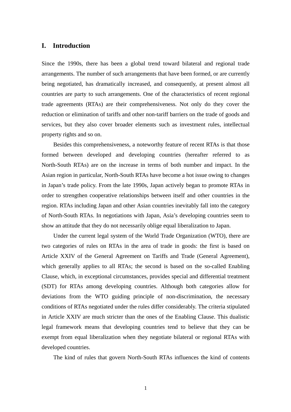## **I. Introduction**

Since the 1990s, there has been a global trend toward bilateral and regional trade arrangements. The number of such arrangements that have been formed, or are currently being negotiated, has dramatically increased, and consequently, at present almost all countries are party to such arrangements. One of the characteristics of recent regional trade agreements (RTAs) are their comprehensiveness. Not only do they cover the reduction or elimination of tariffs and other non-tariff barriers on the trade of goods and services, but they also cover broader elements such as investment rules, intellectual property rights and so on.

Besides this comprehensiveness, a noteworthy feature of recent RTAs is that those formed between developed and developing countries (hereafter referred to as North-South RTAs) are on the increase in terms of both number and impact. In the Asian region in particular, North-South RTAs have become a hot issue owing to changes in Japan's trade policy. From the late 1990s, Japan actively began to promote RTAs in order to strengthen cooperative relationships between itself and other countries in the region. RTAs including Japan and other Asian countries inevitably fall into the category of North-South RTAs. In negotiations with Japan, Asia's developing countries seem to show an attitude that they do not necessarily oblige equal liberalization to Japan.

Under the current legal system of the World Trade Organization (WTO), there are two categories of rules on RTAs in the area of trade in goods: the first is based on Article XXIV of the General Agreement on Tariffs and Trade (General Agreement), which generally applies to all RTAs; the second is based on the so-called Enabling Clause, which, in exceptional circumstances, provides special and differential treatment (SDT) for RTAs among developing countries. Although both categories allow for deviations from the WTO guiding principle of non-discrimination, the necessary conditions of RTAs negotiated under the rules differ considerably. The criteria stipulated in Article XXIV are much stricter than the ones of the Enabling Clause. This dualistic legal framework means that developing countries tend to believe that they can be exempt from equal liberalization when they negotiate bilateral or regional RTAs with developed countries.

The kind of rules that govern North-South RTAs influences the kind of contents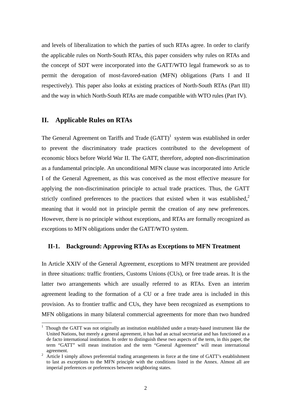and levels of liberalization to which the parties of such RTAs agree. In order to clarify the applicable rules on North-South RTAs, this paper considers why rules on RTAs and the concept of SDT were incorporated into the GATT/WTO legal framework so as to permit the derogation of most-favored-nation (MFN) obligations (Parts I and II respectively). This paper also looks at existing practices of North-South RTAs (Part III) and the way in which North-South RTAs are made compatible with WTO rules (Part IV).

## **II. Applicable Rules on RTAs**

The General Agreement on Tariffs and Trade  $(GATT)^{1}$  system was established in order to prevent the discriminatory trade practices contributed to the development of economic blocs before World War II. The GATT, therefore, adopted non-discrimination as a fundamental principle. An unconditional MFN clause was incorporated into Article I of the General Agreement, as this was conceived as the most effective measure for applying the non-discrimination principle to actual trade practices. Thus, the GATT strictly confined preferences to the practices that existed when it was established, $\lambda$ meaning that it would not in principle permit the creation of any new preferences. However, there is no principle without exceptions, and RTAs are formally recognized as exceptions to MFN obligations under the GATT/WTO system.

## **II-1. Background: Approving RTAs as Exceptions to MFN Treatment**

In Article XXIV of the General Agreement, exceptions to MFN treatment are provided in three situations: traffic frontiers, Customs Unions (CUs), or free trade areas. It is the latter two arrangements which are usually referred to as RTAs. Even an interim agreement leading to the formation of a CU or a free trade area is included in this provision. As to frontier traffic and CUs, they have been recognized as exemptions to MFN obligations in many bilateral commercial agreements for more than two hundred

<sup>&</sup>lt;sup>1</sup> Though the GATT was not originally an institution established under a treaty-based instrument like the United Nations, but merely a general agreement, it has had an actual secretariat and has functioned as a de facto international institution. In order to distinguish these two aspects of the term, in this paper, the term "GATT" will mean institution and the term "General Agreement" will mean international

agreement.<br><sup>2</sup> Article I simply allows preferential trading arrangements in force at the time of GATT's establishment to last as exceptions to the MFN principle with the conditions listed in the Annex. Almost all are imperial preferences or preferences between neighboring states.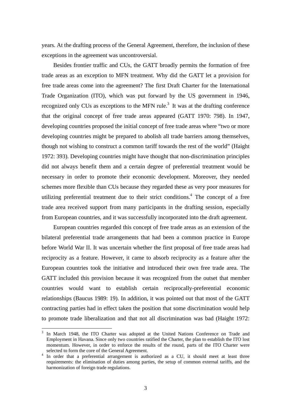years. At the drafting process of the General Agreement, therefore, the inclusion of these exceptions in the agreement was uncontroversial.

Besides frontier traffic and CUs, the GATT broadly permits the formation of free trade areas as an exception to MFN treatment. Why did the GATT let a provision for free trade areas come into the agreement? The first Draft Charter for the International Trade Organization (ITO), which was put forward by the US government in 1946, recognized only CUs as exceptions to the MFN rule.<sup>3</sup> It was at the drafting conference that the original concept of free trade areas appeared (GATT 1970: 798). In 1947, developing countries proposed the initial concept of free trade areas where "two or more developing countries might be prepared to abolish all trade barriers among themselves, though not wishing to construct a common tariff towards the rest of the world" (Haight 1972: 393). Developing countries might have thought that non-discrimination principles did not always benefit them and a certain degree of preferential treatment would be necessary in order to promote their economic development. Moreover, they needed schemes more flexible than CUs because they regarded these as very poor measures for utilizing preferential treatment due to their strict conditions.<sup>4</sup> The concept of a free trade area received support from many participants in the drafting session, especially from European countries, and it was successfully incorporated into the draft agreement.

European countries regarded this concept of free trade areas as an extension of the bilateral preferential trade arrangements that had been a common practice in Europe before World War II. It was uncertain whether the first proposal of free trade areas had reciprocity as a feature. However, it came to absorb reciprocity as a feature after the European countries took the initiative and introduced their own free trade area. The GATT included this provision because it was recognized from the outset that member countries would want to establish certain reciprocally-preferential economic relationships (Baucus 1989: 19). In addition, it was pointed out that most of the GATT contracting parties had in effect taken the position that some discrimination would help to promote trade liberalization and that not all discrimination was bad (Haight 1972:

<sup>&</sup>lt;sup>3</sup> In March 1948, the ITO Charter was adopted at the United Nations Conference on Trade and Employment in Havana. Since only two countries ratified the Charter, the plan to establish the ITO lost momentum. However, in order to enforce the results of the round, parts of the ITO Charter were selected to form the core of the General Agreement.

<sup>&</sup>lt;sup>4</sup> In order that a preferential arrangement is authorized as a CU, it should meet at least three requirements: the elimination of duties among parties, the setup of common external tariffs, and the harmonization of foreign trade regulations.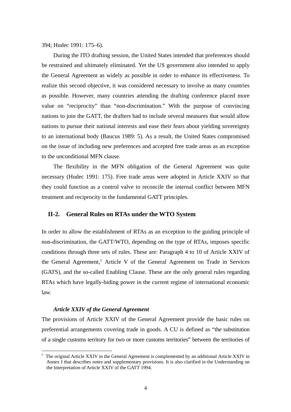394; Hudec 1991: 175–6).

During the ITO drafting session, the United States intended that preferences should be restrained and ultimately eliminated. Yet the US government also intended to apply the General Agreement as widely as possible in order to enhance its effectiveness. To realize this second objective, it was considered necessary to involve as many countries as possible. However, many countries attending the drafting conference placed more value on "reciprocity" than "non-discrimination." With the purpose of convincing nations to join the GATT, the drafters had to include several measures that would allow nations to pursue their national interests and ease their fears about yielding sovereignty to an international body (Baucus 1989: 5). As a result, the United States compromised on the issue of including new preferences and accepted free trade areas as an exception to the unconditional MFN clause.

The flexibility in the MFN obligation of the General Agreement was quite necessary (Hudec 1991: 175). Free trade areas were adopted in Article XXIV so that they could function as a control valve to reconcile the internal conflict between MFN treatment and reciprocity in the fundamental GATT principles.

## **II-2. General Rules on RTAs under the WTO System**

In order to allow the establishment of RTAs as an exception to the guiding principle of non-discrimination, the GATT/WTO, depending on the type of RTAs, imposes specific conditions through three sets of rules. These are: Paragraph 4 to 10 of Article XXIV of the General Agreement,<sup>5</sup> Article V of the General Agreement on Trade in Services (GATS), and the so-called Enabling Clause. These are the only general rules regarding RTAs which have legally-biding power in the current regime of international economic law.

## *Article XXIV of the General Agreement*

The provisions of Article XXIV of the General Agreement provide the basic rules on preferential arrangements covering trade in goods. A CU is defined as "the substitution of a single customs territory for two or more customs territories" between the territories of

<sup>&</sup>lt;sup>5</sup> The original Article XXIV in the General Agreement is complemented by an additional Article XXIV in Annex I that describes notes and supplementary provisions. It is also clarified in the Understanding on the Interpretation of Article XXIV of the GATT 1994.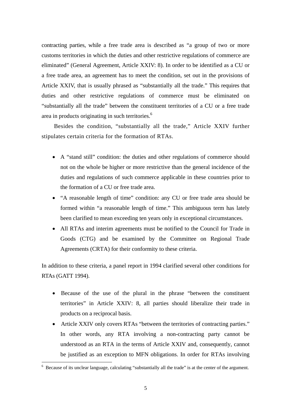contracting parties, while a free trade area is described as "a group of two or more customs territories in which the duties and other restrictive regulations of commerce are eliminated" (General Agreement, Article XXIV: 8). In order to be identified as a CU or a free trade area, an agreement has to meet the condition, set out in the provisions of Article XXIV, that is usually phrased as "substantially all the trade." This requires that duties and other restrictive regulations of commerce must be eliminated on "substantially all the trade" between the constituent territories of a CU or a free trade area in products originating in such territories.<sup>6</sup>

Besides the condition, "substantially all the trade," Article XXIV further stipulates certain criteria for the formation of RTAs.

- A "stand still" condition: the duties and other regulations of commerce should not on the whole be higher or more restrictive than the general incidence of the duties and regulations of such commerce applicable in these countries prior to the formation of a CU or free trade area.
- "A reasonable length of time" condition: any CU or free trade area should be formed within "a reasonable length of time." This ambiguous term has lately been clarified to mean exceeding ten years only in exceptional circumstances.
- All RTAs and interim agreements must be notified to the Council for Trade in Goods (CTG) and be examined by the Committee on Regional Trade Agreements (CRTA) for their conformity to these criteria.

In addition to these criteria, a panel report in 1994 clarified several other conditions for RTAs (GATT 1994).

- Because of the use of the plural in the phrase "between the constituent territories" in Article XXIV: 8, all parties should liberalize their trade in products on a reciprocal basis.
- Article XXIV only covers RTAs "between the territories of contracting parties." In other words, any RTA involving a non-contracting party cannot be understood as an RTA in the terms of Article XXIV and, consequently, cannot be justified as an exception to MFN obligations. In order for RTAs involving

<sup>&</sup>lt;sup>6</sup> Because of its unclear language, calculating "substantially all the trade" is at the center of the argument.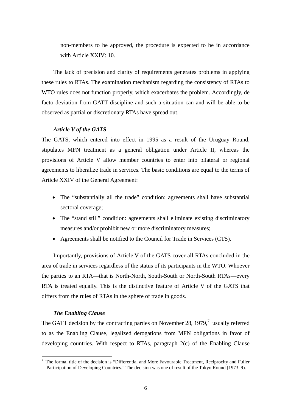non-members to be approved, the procedure is expected to be in accordance with Article XXIV: 10.

The lack of precision and clarity of requirements generates problems in applying these rules to RTAs. The examination mechanism regarding the consistency of RTAs to WTO rules does not function properly, which exacerbates the problem. Accordingly, de facto deviation from GATT discipline and such a situation can and will be able to be observed as partial or discretionary RTAs have spread out.

## *Article V of the GATS*

The GATS, which entered into effect in 1995 as a result of the Uruguay Round, stipulates MFN treatment as a general obligation under Article II, whereas the provisions of Article V allow member countries to enter into bilateral or regional agreements to liberalize trade in services. The basic conditions are equal to the terms of Article XXIV of the General Agreement:

- The "substantially all the trade" condition: agreements shall have substantial sectoral coverage;
- The "stand still" condition: agreements shall eliminate existing discriminatory measures and/or prohibit new or more discriminatory measures;
- Agreements shall be notified to the Council for Trade in Services (CTS).

Importantly, provisions of Article V of the GATS cover all RTAs concluded in the area of trade in services regardless of the status of its participants in the WTO. Whoever the parties to an RTA—that is North-North, South-South or North-South RTAs—every RTA is treated equally. This is the distinctive feature of Article V of the GATS that differs from the rules of RTAs in the sphere of trade in goods.

## *The Enabling Clause*

The GATT decision by the contracting parties on November 28, 1979, $^7$  usually referred to as the Enabling Clause, legalized derogations from MFN obligations in favor of developing countries. With respect to RTAs, paragraph 2(c) of the Enabling Clause

<sup>7</sup> The formal title of the decision is "Differential and More Favourable Treatment, Reciprocity and Fuller Participation of Developing Countries." The decision was one of result of the Tokyo Round (1973–9).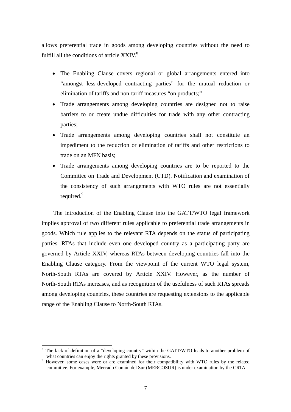allows preferential trade in goods among developing countries without the need to fulfill all the conditions of article  $XXIV<sup>8</sup>$ 

- The Enabling Clause covers regional or global arrangements entered into "amongst less-developed contracting parties" for the mutual reduction or elimination of tariffs and non-tariff measures "on products;"
- Trade arrangements among developing countries are designed not to raise barriers to or create undue difficulties for trade with any other contracting parties;
- Trade arrangements among developing countries shall not constitute an impediment to the reduction or elimination of tariffs and other restrictions to trade on an MFN basis;
- Trade arrangements among developing countries are to be reported to the Committee on Trade and Development (CTD). Notification and examination of the consistency of such arrangements with WTO rules are not essentially required.<sup>9</sup>

The introduction of the Enabling Clause into the GATT/WTO legal framework implies approval of two different rules applicable to preferential trade arrangements in goods. Which rule applies to the relevant RTA depends on the status of participating parties. RTAs that include even one developed country as a participating party are governed by Article XXIV, whereas RTAs between developing countries fall into the Enabling Clause category. From the viewpoint of the current WTO legal system, North-South RTAs are covered by Article XXIV. However, as the number of North-South RTAs increases, and as recognition of the usefulness of such RTAs spreads among developing countries, these countries are requesting extensions to the applicable range of the Enabling Clause to North-South RTAs.

 $\overline{a}$ 

<sup>8</sup> The lack of definition of a "developing country" within the GATT/WTO leads to another problem of what countries can enjoy the rights granted by these provisions.

<sup>&</sup>lt;sup>9</sup> However, some cases were or are examined for their compatibility with WTO rules by the related committee. For example, Mercado Común del Sur (MERCOSUR) is under examination by the CRTA.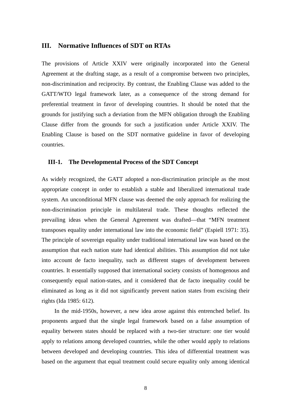## **III. Normative Influences of SDT on RTAs**

The provisions of Article XXIV were originally incorporated into the General Agreement at the drafting stage, as a result of a compromise between two principles, non-discrimination and reciprocity. By contrast, the Enabling Clause was added to the GATT/WTO legal framework later, as a consequence of the strong demand for preferential treatment in favor of developing countries. It should be noted that the grounds for justifying such a deviation from the MFN obligation through the Enabling Clause differ from the grounds for such a justification under Article XXIV. The Enabling Clause is based on the SDT normative guideline in favor of developing countries.

## **III-1. The Developmental Process of the SDT Concept**

As widely recognized, the GATT adopted a non-discrimination principle as the most appropriate concept in order to establish a stable and liberalized international trade system. An unconditional MFN clause was deemed the only approach for realizing the non-discrimination principle in multilateral trade. These thoughts reflected the prevailing ideas when the General Agreement was drafted—that "MFN treatment transposes equality under international law into the economic field" (Espiell 1971: 35). The principle of sovereign equality under traditional international law was based on the assumption that each nation state had identical abilities. This assumption did not take into account de facto inequality, such as different stages of development between countries. It essentially supposed that international society consists of homogenous and consequently equal nation-states, and it considered that de facto inequality could be eliminated as long as it did not significantly prevent nation states from excising their rights (Ida 1985: 612).

 In the mid-1950s, however, a new idea arose against this entrenched belief. Its proponents argued that the single legal framework based on a false assumption of equality between states should be replaced with a two-tier structure: one tier would apply to relations among developed countries, while the other would apply to relations between developed and developing countries. This idea of differential treatment was based on the argument that equal treatment could secure equality only among identical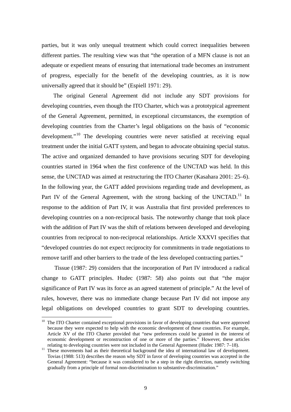parties, but it was only unequal treatment which could correct inequalities between different parties. The resulting view was that "the operation of a MFN clause is not an adequate or expedient means of ensuring that international trade becomes an instrument of progress, especially for the benefit of the developing countries, as it is now universally agreed that it should be" (Espiell 1971: 29).

The original General Agreement did not include any SDT provisions for developing countries, even though the ITO Charter, which was a prototypical agreement of the General Agreement, permitted, in exceptional circumstances, the exemption of developing countries from the Charter's legal obligations on the basis of "economic development."<sup>10</sup> The developing countries were never satisfied at receiving equal treatment under the initial GATT system, and began to advocate obtaining special status. The active and organized demanded to have provisions securing SDT for developing countries started in 1964 when the first conference of the UNCTAD was held. In this sense, the UNCTAD was aimed at restructuring the ITO Charter (Kasahara 2001: 25–6). In the following year, the GATT added provisions regarding trade and development, as Part IV of the General Agreement, with the strong backing of the UNCTAD.<sup>11</sup> In response to the addition of Part IV, it was Australia that first provided preferences to developing countries on a non-reciprocal basis. The noteworthy change that took place with the addition of Part IV was the shift of relations between developed and developing countries from reciprocal to non-reciprocal relationships. Article XXXVI specifies that "developed countries do not expect reciprocity for commitments in trade negotiations to remove tariff and other barriers to the trade of the less developed contracting parties."

 Tissue (1987: 29) considers that the incorporation of Part IV introduced a radical change to GATT principles. Hudec (1987: 58) also points out that "the major significance of Part IV was its force as an agreed statement of principle." At the level of rules, however, there was no immediate change because Part IV did not impose any legal obligations on developed countries to grant SDT to developing countries.

<sup>&</sup>lt;sup>10</sup> The ITO Charter contained exceptional provisions in favor of developing countries that were approved because they were expected to help with the economic development of these countries. For example, Article XV of the ITO Charter provided that "new preferences could be granted in the interest of economic development or reconstruction of one or more of the parties." However, these articles relating to developing countries were not included in the General Agreement (Hudec 1987: 7–18).

<sup>&</sup>lt;sup>11</sup> These movements had as their theoretical background the idea of international law of development. Tovias (1988: 513) describes the reason why SDT in favor of developing countries was accepted in the General Agreement: "because it was considered to be a step in the right direction, namely switching gradually from a principle of formal non-discrimination to substantive-discrimination."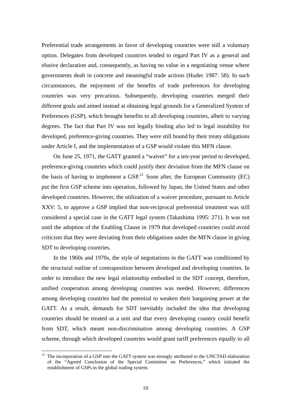Preferential trade arrangements in favor of developing countries were still a voluntary option. Delegates from developed countries tended to regard Part IV as a general and elusive declaration and, consequently, as having no value in a negotiating venue where governments dealt in concrete and meaningful trade actions (Hudec 1987: 58). In such circumstances, the enjoyment of the benefits of trade preferences for developing countries was very precarious. Subsequently, developing countries merged their different goals and aimed instead at obtaining legal grounds for a Generalized System of Preferences (GSP), which brought benefits to all developing countries, albeit to varying degrees. The fact that Part IV was not legally binding also led to legal instability for developed, preference-giving countries. They were still bound by their treaty obligations under Article I, and the implementation of a GSP would violate this MFN clause.

On June 25, 1971, the GATT granted a "waiver" for a ten-year period to developed, preference-giving countries which could justify their deviation from the MFN clause on the basis of having to implement a  $GSP<sup>12</sup>$  Soon after, the European Community (EC) put the first GSP scheme into operation, followed by Japan, the United States and other developed countries. However, the utilization of a waiver procedure, pursuant to Article XXV: 5, to approve a GSP implied that non-reciprocal preferential treatment was still considered a special case in the GATT legal system (Takashima 1995: 271). It was not until the adoption of the Enabling Clause in 1979 that developed countries could avoid criticism that they were deviating from their obligations under the MFN clause in giving SDT to developing countries.

In the 1960s and 1970s, the style of negotiations in the GATT was conditioned by the structural outline of contraposition between developed and developing countries. In order to introduce the new legal relationship embodied in the SDT concept, therefore, unified cooperation among developing countries was needed. However, differences among developing countries had the potential to weaken their bargaining power at the GATT. As a result, demands for SDT inevitably included the idea that developing countries should be treated as a unit and that every developing country could benefit from SDT, which meant non-discrimination among developing countries. A GSP scheme, through which developed countries would grant tariff preferences equally to all

 $12$  The incorporation of a GSP into the GATT system was strongly attributed to the UNCTAD elaboration of the "Agreed Conclusion of the Special Committee on Preferences," which initiated the establishment of GSPs in the global trading system.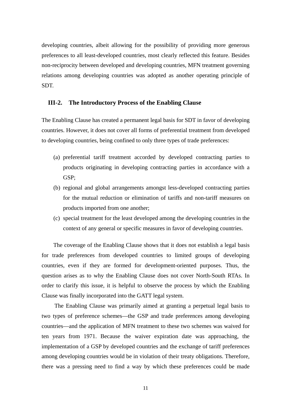developing countries, albeit allowing for the possibility of providing more generous preferences to all least-developed countries, most clearly reflected this feature. Besides non-reciprocity between developed and developing countries, MFN treatment governing relations among developing countries was adopted as another operating principle of SDT.

## **III-2. The Introductory Process of the Enabling Clause**

The Enabling Clause has created a permanent legal basis for SDT in favor of developing countries. However, it does not cover all forms of preferential treatment from developed to developing countries, being confined to only three types of trade preferences:

- (a) preferential tariff treatment accorded by developed contracting parties to products originating in developing contracting parties in accordance with a GSP;
- (b) regional and global arrangements amongst less-developed contracting parties for the mutual reduction or elimination of tariffs and non-tariff measures on products imported from one another;
- (c) special treatment for the least developed among the developing countries in the context of any general or specific measures in favor of developing countries.

The coverage of the Enabling Clause shows that it does not establish a legal basis for trade preferences from developed countries to limited groups of developing countries, even if they are formed for development-oriented purposes. Thus, the question arises as to why the Enabling Clause does not cover North-South RTAs. In order to clarify this issue, it is helpful to observe the process by which the Enabling Clause was finally incorporated into the GATT legal system.

 The Enabling Clause was primarily aimed at granting a perpetual legal basis to two types of preference schemes—the GSP and trade preferences among developing countries—and the application of MFN treatment to these two schemes was waived for ten years from 1971. Because the waiver expiration date was approaching, the implementation of a GSP by developed countries and the exchange of tariff preferences among developing countries would be in violation of their treaty obligations. Therefore, there was a pressing need to find a way by which these preferences could be made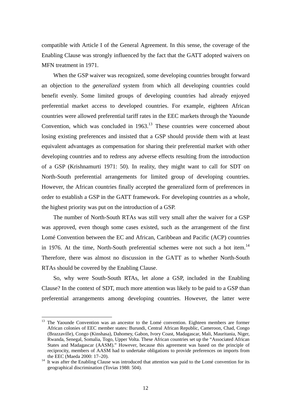compatible with Article I of the General Agreement. In this sense, the coverage of the Enabling Clause was strongly influenced by the fact that the GATT adopted waivers on MFN treatment in 1971.

When the GSP waiver was recognized, some developing countries brought forward an objection to the *generalized* system from which all developing countries could benefit evenly. Some limited groups of developing countries had already enjoyed preferential market access to developed countries. For example, eighteen African countries were allowed preferential tariff rates in the EEC markets through the Yaounde Convention, which was concluded in  $1963$ .<sup>13</sup> These countries were concerned about losing existing preferences and insisted that a GSP should provide them with at least equivalent advantages as compensation for sharing their preferential market with other developing countries and to redress any adverse effects resulting from the introduction of a GSP (Krishnamurti 1971: 50). In reality, they might want to call for SDT on North-South preferential arrangements for limited group of developing countries. However, the African countries finally accepted the generalized form of preferences in order to establish a GSP in the GATT framework. For developing countries as a whole, the highest priority was put on the introduction of a GSP.

The number of North-South RTAs was still very small after the waiver for a GSP was approved, even though some cases existed, such as the arrangement of the first Lomé Convention between the EC and African, Caribbean and Pacific (ACP) countries in 1976. At the time, North-South preferential schemes were not such a hot item.<sup>14</sup> Therefore, there was almost no discussion in the GATT as to whether North-South RTAs should be covered by the Enabling Clause.

So, why were South-South RTAs, let alone a GSP, included in the Enabling Clause? In the context of SDT, much more attention was likely to be paid to a GSP than preferential arrangements among developing countries. However, the latter were

<sup>&</sup>lt;sup>13</sup> The Yaounde Convention was an ancestor to the Lomé convention. Eighteen members are former African colonies of EEC member states: Burundi, Central African Republic, Cameroon, Chad, Congo (Brazzaville), Congo (Kinshasa), Dahomey, Gabon, Ivory Coast, Madagascar, Mali, Mauritania, Niger, Rwanda, Senegal, Somalia, Togo, Upper Volta. These African countries set up the "Associated African States and Madagascar (AASM)." However, because this agreement was based on the principle of reciprocity, members of AASM had to undertake obligations to provide preferences on imports from the EEC (Maeda 2000: 17–20).<br><sup>14</sup> It was after the Enabling Clause was introduced that attention was paid to the Lomé convention for its

geographical discrimination (Tovias 1988: 504).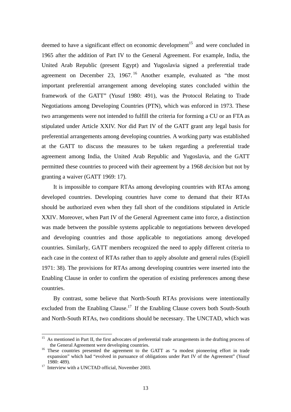deemed to have a significant effect on economic development<sup>15</sup> and were concluded in 1965 after the addition of Part IV to the General Agreement. For example, India, the United Arab Republic (present Egypt) and Yugoslavia signed a preferential trade agreement on December 23, 1967. <sup>16</sup> Another example, evaluated as "the most important preferential arrangement among developing states concluded within the framework of the GATT" (Yusuf 1980: 491), was the Protocol Relating to Trade Negotiations among Developing Countries (PTN), which was enforced in 1973. These two arrangements were not intended to fulfill the criteria for forming a CU or an FTA as stipulated under Article XXIV. Nor did Part IV of the GATT grant any legal basis for preferential arrangements among developing countries. A working party was established at the GATT to discuss the measures to be taken regarding a preferential trade agreement among India, the United Arab Republic and Yugoslavia, and the GATT permitted these countries to proceed with their agreement by a 1968 *decision* but not by granting a waiver (GATT 1969: 17).

It is impossible to compare RTAs among developing countries with RTAs among developed countries. Developing countries have come to demand that their RTAs should be authorized even when they fall short of the conditions stipulated in Article XXIV. Moreover, when Part IV of the General Agreement came into force, a distinction was made between the possible systems applicable to negotiations between developed and developing countries and those applicable to negotiations among developed countries. Similarly, GATT members recognized the need to apply different criteria to each case in the context of RTAs rather than to apply absolute and general rules (Espiell 1971: 38). The provisions for RTAs among developing countries were inserted into the Enabling Clause in order to confirm the operation of existing preferences among these countries.

By contrast, some believe that North-South RTAs provisions were intentionally excluded from the Enabling Clause.<sup>17</sup> If the Enabling Clause covers both South-South and North-South RTAs, two conditions should be necessary. The UNCTAD, which was

<sup>&</sup>lt;sup>15</sup> As mentioned in Part II, the first advocates of preferential trade arrangements in the drafting process of the General Agreement were developing countries.

 $16$  These countries presented the agreement to the GATT as "a modest pioneering effort in trade expansion" which had "evolved in pursuance of obligations under Part IV of the Agreement" (Yusuf 1980: 489).

<sup>&</sup>lt;sup>17</sup> Interview with a UNCTAD official, November 2003.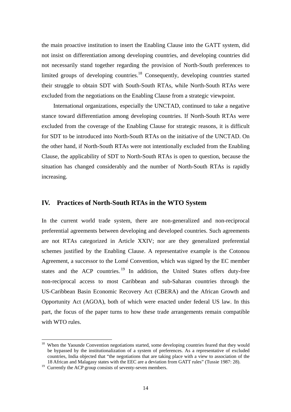the main proactive institution to insert the Enabling Clause into the GATT system, did not insist on differentiation among developing countries, and developing countries did not necessarily stand together regarding the provision of North-South preferences to limited groups of developing countries.<sup>18</sup> Consequently, developing countries started their struggle to obtain SDT with South-South RTAs, while North-South RTAs were excluded from the negotiations on the Enabling Clause from a strategic viewpoint.

International organizations, especially the UNCTAD, continued to take a negative stance toward differentiation among developing countries. If North-South RTAs were excluded from the coverage of the Enabling Clause for strategic reasons, it is difficult for SDT to be introduced into North-South RTAs on the initiative of the UNCTAD. On the other hand, if North-South RTAs were not intentionally excluded from the Enabling Clause, the applicability of SDT to North-South RTAs is open to question, because the situation has changed considerably and the number of North-South RTAs is rapidly increasing.

## **IV. Practices of North-South RTAs in the WTO System**

In the current world trade system, there are non-generalized and non-reciprocal preferential agreements between developing and developed countries. Such agreements are not RTAs categorized in Article XXIV; nor are they generalized preferential schemes justified by the Enabling Clause. A representative example is the Cotonou Agreement, a successor to the Lomé Convention, which was signed by the EC member states and the ACP countries.  $19$  In addition, the United States offers duty-free non-reciprocal access to most Caribbean and sub-Saharan countries through the US-Caribbean Basin Economic Recovery Act (CBERA) and the African Growth and Opportunity Act (AGOA), both of which were enacted under federal US law. In this part, the focus of the paper turns to how these trade arrangements remain compatible with WTO rules.

<sup>&</sup>lt;sup>18</sup> When the Yaounde Convention negotiations started, some developing countries feared that they would be bypassed by the institutionalization of a system of preferences. As a representative of excluded countries, India objected that "the negotiations that are taking place with a view to association of the 18 African and Malagasy states with the EEC are a deviation from GATT rules" (Tussie 1987: 28).

 $19$  Currently the ACP group consists of seventy-seven members.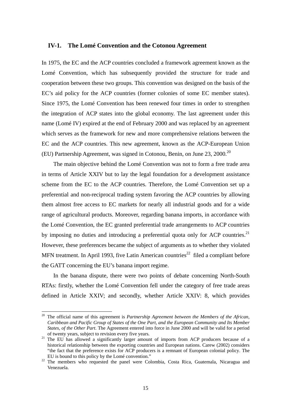## **IV-1. The Lomé Convention and the Cotonou Agreement**

In 1975, the EC and the ACP countries concluded a framework agreement known as the Lomé Convention, which has subsequently provided the structure for trade and cooperation between these two groups. This convention was designed on the basis of the EC's aid policy for the ACP countries (former colonies of some EC member states). Since 1975, the Lomé Convention has been renewed four times in order to strengthen the integration of ACP states into the global economy. The last agreement under this name (Lomé IV) expired at the end of February 2000 and was replaced by an agreement which serves as the framework for new and more comprehensive relations between the EC and the ACP countries. This new agreement, known as the ACP-European Union (EU) Partnership Agreement, was signed in Cotonou, Benin, on June 23, 2000.<sup>20</sup>

The main objective behind the Lomé Convention was not to form a free trade area in terms of Article XXIV but to lay the legal foundation for a development assistance scheme from the EC to the ACP countries. Therefore, the Lomé Convention set up a preferential and non-reciprocal trading system favoring the ACP countries by allowing them almost free access to EC markets for nearly all industrial goods and for a wide range of agricultural products. Moreover, regarding banana imports, in accordance with the Lomé Convention, the EC granted preferential trade arrangements to ACP countries by imposing no duties and introducing a preferential quota only for ACP countries.<sup>21</sup> However, these preferences became the subject of arguments as to whether they violated MFN treatment. In April 1993, five Latin American countries<sup>22</sup> filed a compliant before the GATT concerning the EU's banana import regime.

In the banana dispute, there were two points of debate concerning North-South RTAs: firstly, whether the Lomé Convention fell under the category of free trade areas defined in Article XXIV; and secondly, whether Article XXIV: 8, which provides

 $\overline{a}$ 

<sup>20</sup> The official name of this agreement is *Partnership Agreement between the Members of the African, Caribbean and Pacific Group of States of the One Part, and the European Community and Its Member States, of the Other Part*. The Agreement entered into force in June 2000 and will be valid for a period

of twenty years, subject to revision every five years. 21 The EU has allowed a significantly larger amount of imports from ACP producers because of a historical relationship between the exporting countries and European nations. Carew (2002) considers "the fact that the preference exists for ACP producers is a remnant of European colonial policy. The

EU is bound to this policy by the Lomé convention." 22 The members who requested the panel were Colombia, Costa Rica, Guatemala, Nicaragua and Venezuela.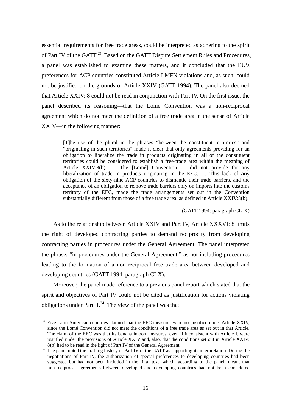essential requirements for free trade areas, could be interpreted as adhering to the spirit of Part IV of the GATT.<sup>23</sup> Based on the GATT Dispute Settlement Rules and Procedures, a panel was established to examine these matters, and it concluded that the EU's preferences for ACP countries constituted Article I MFN violations and, as such, could not be justified on the grounds of Article XXIV (GATT 1994). The panel also deemed that Article XXIV: 8 could not be read in conjunction with Part IV. On the first issue, the panel described its reasoning—that the Lomé Convention was a non-reciprocal agreement which do not meet the definition of a free trade area in the sense of Article XXIV—in the following manner:

> [T]he use of the plural in the phrases "between the constituent territories" and "originating in such territories" made it clear that only agreements providing for an obligation to liberalize the trade in products originating in **all** of the constituent territories could be considered to establish a free-trade area within the meaning of Article XXIV:8(b). … The [Lomé] Convention … did not provide for any liberalization of trade in products originating in the EEC. … This lack of **any** obligation of the sixty-nine ACP countries to dismantle their trade barriers, and the acceptance of an obligation to remove trade barriers only on imports into the customs territory of the EEC, made the trade arrangements set out in the Convention substantially different from those of a free trade area, as defined in Article XXIV:8(b).

> > (GATT 1994: paragraph CLIX)

As to the relationship between Article XXIV and Part IV, Article XXXVI: 8 limits the right of developed contracting parties to demand reciprocity from developing contracting parties in procedures under the General Agreement. The panel interpreted the phrase, "in procedures under the General Agreement," as not including procedures leading to the formation of a non-reciprocal free trade area between developed and developing countries (GATT 1994: paragraph CLX).

Moreover, the panel made reference to a previous panel report which stated that the spirit and objectives of Part IV could not be cited as justification for actions violating obligations under Part  $II^{24}$ . The view of the panel was that:

 $^{23}$  Five Latin American countries claimed that the EEC measures were not justified under Article XXIV, since the Lomé Convention did not meet the conditions of a free trade area as set out in that Article. The claim of the EEC was that its banana import measures, even if inconsistent with Article I, were justified under the provisions of Article  $XXIV$  and, also, that the conditions set out in Article  $XXIV$ :  $8(b)$  had to be read in the light of Part IV of the General Agreement.

<sup>&</sup>lt;sup>24</sup> The panel noted the drafting history of Part IV of the GATT as supporting its interpretation. During the negotiations of Part IV, the authorization of special preferences to developing countries had been suggested but had not been included in the final text, which, according to the panel, meant that non-reciprocal agreements between developed and developing countries had not been considered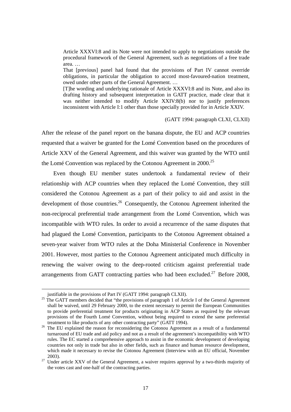Article XXXVI:8 and its Note were not intended to apply to negotiations outside the procedural framework of the General Agreement, such as negotiations of a free trade area. …

That [previous] panel had found that the provisions of Part IV cannot override obligations, in particular the obligation to accord most-favoured-nation treatment, owed under other parts of the General Agreement. …

[T]he wording and underlying rationale of Article XXXVI:8 and its Note, and also its drafting history and subsequent interpretation in GATT practice, made clear that it was neither intended to modify Article XXIV:8(b) nor to justify preferences inconsistent with Article I:1 other than those specially provided for in Article XXIV.

#### (GATT 1994: paragraph CLXI, CLXII)

After the release of the panel report on the banana dispute, the EU and ACP countries requested that a waiver be granted for the Lomé Convention based on the procedures of Article XXV of the General Agreement, and this waiver was granted by the WTO until the Lomé Convention was replaced by the Cotonou Agreement in 2000.<sup>25</sup>

Even though EU member states undertook a fundamental review of their relationship with ACP countries when they replaced the Lomé Convention, they still considered the Cotonou Agreement as a part of their policy to aid and assist in the development of those countries.<sup>26</sup> Consequently, the Cotonou Agreement inherited the non-reciprocal preferential trade arrangement from the Lomé Convention, which was incompatible with WTO rules. In order to avoid a recurrence of the same disputes that had plagued the Lomé Convention, participants to the Cotonou Agreement obtained a seven-year waiver from WTO rules at the Doha Ministerial Conference in November 2001. However, most parties to the Cotonou Agreement anticipated much difficulty in renewing the waiver owing to the deep-rooted criticism against preferential trade arrangements from GATT contracting parties who had been excluded.<sup>27</sup> Before 2008.

justifiable in the provisions of Part IV (GATT 1994: paragraph CLXII). 25 The GATT members decided that "the provisions of paragraph 1 of Article I of the General Agreement shall be waived, until 29 February 2000, to the extent necessary to permit the European Communities to provide preferential treatment for products originating in ACP States as required by the relevant provisions of the Fourth Lomé Convention, without being required to extend the same preferential

treatment to like products of any other contracting party" (GATT 1994). 26 The EU explained the reason for reconsidering the Cotonou Agreement as a result of a fundamental turnaround of EU trade and aid policy and not as a result of the agreement's incompatibility with WTO rules. The EC started a comprehensive approach to assist in the economic development of developing countries not only in trade but also in other fields, such as finance and human resource development, which made it necessary to revise the Cotonou Agreement (Interview with an EU official, November

<sup>2003).&</sup>lt;br><sup>27</sup> Under article XXV of the General Agreement, a waiver requires approval by a two-thirds majority of the votes cast and one-half of the contracting parties.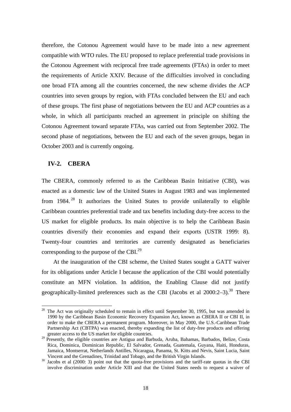therefore, the Cotonou Agreement would have to be made into a new agreement compatible with WTO rules. The EU proposed to replace preferential trade provisions in the Cotonou Agreement with reciprocal free trade agreements (FTAs) in order to meet the requirements of Article XXIV. Because of the difficulties involved in concluding one broad FTA among all the countries concerned, the new scheme divides the ACP countries into seven groups by region, with FTAs concluded between the EU and each of these groups. The first phase of negotiations between the EU and ACP countries as a whole, in which all participants reached an agreement in principle on shifting the Cotonou Agreement toward separate FTAs, was carried out from September 2002. The second phase of negotiations, between the EU and each of the seven groups, began in October 2003 and is currently ongoing.

## **IV-2. CBERA**

The CBERA, commonly referred to as the Caribbean Basin Initiative (CBI), was enacted as a domestic law of the United States in August 1983 and was implemented from  $1984.<sup>28</sup>$  It authorizes the United States to provide unilaterally to eligible Caribbean countries preferential trade and tax benefits including duty-free access to the US market for eligible products. Its main objective is to help the Caribbean Basin countries diversify their economies and expand their exports (USTR 1999: 8). Twenty-four countries and territories are currently designated as beneficiaries corresponding to the purpose of the CBI. $^{29}$ 

At the inauguration of the CBI scheme, the United States sought a GATT waiver for its obligations under Article I because the application of the CBI would potentially constitute an MFN violation. In addition, the Enabling Clause did not justify geographically-limited preferences such as the CBI (Jacobs et al  $2000:2-3$ ).<sup>30</sup> There

 $28$  The Act was originally scheduled to remain in effect until September 30, 1995, but was amended in 1990 by the Caribbean Basin Economic Recovery Expansion Act, known as CBERA II or CBI II, in order to make the CBERA a permanent program. Moreover, in May 2000, the U.S.-Caribbean Trade Partnership Act (CBTPA) was enacted, thereby expanding the list of duty-free products and offering greater access to the US market for eligible countries.

<sup>&</sup>lt;sup>29</sup> Presently, the eligible countries are Antigua and Barbuda, Aruba, Bahamas, Barbados, Belize, Costa Rica, Dominica, Dominican Republic, El Salvador, Grenada, Guatemala, Guyana, Haiti, Honduras, Jamaica, Montserrat, Netherlands Antilles, Nicaragua, Panama, St. Kitts and Nevis, Saint Lucia, Saint Vincent and the Grenadines, Trinidad and Tobago, and the British Virgin Islands.<br><sup>30</sup> Jacobs et al (2000: 3) point out that the quota-free provisions and the tariff-rate quotas in the CBI

involve discrimination under Article XIII and that the United States needs to request a waiver of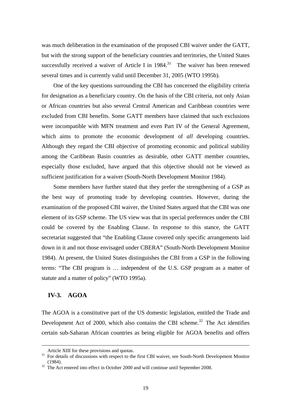was much deliberation in the examination of the proposed CBI waiver under the GATT, but with the strong support of the beneficiary countries and territories, the United States successfully received a waiver of Article I in  $1984$ <sup>31</sup> The waiver has been renewed several times and is currently valid until December 31, 2005 (WTO 1995b).

One of the key questions surrounding the CBI has concerned the eligibility criteria for designation as a beneficiary country. On the basis of the CBI criteria, not only Asian or African countries but also several Central American and Caribbean countries were excluded from CBI benefits. Some GATT members have claimed that such exclusions were incompatible with MFN treatment and even Part IV of the General Agreement, which aims to promote the economic development of *all* developing countries. Although they regard the CBI objective of promoting economic and political stability among the Caribbean Basin countries as desirable, other GATT member countries, especially those excluded, have argued that this objective should not be viewed as sufficient justification for a waiver (South-North Development Monitor 1984).

Some members have further stated that they prefer the strengthening of a GSP as the best way of promoting trade by developing countries. However, during the examination of the proposed CBI waiver, the United States argued that the CBI was one element of its GSP scheme. The US view was that its special preferences under the CBI could be covered by the Enabling Clause. In response to this stance, the GATT secretariat suggested that "the Enabling Clause covered only specific arrangements laid down in it and not those envisaged under CBERA" (South-North Development Monitor 1984). At present, the United States distinguishes the CBI from a GSP in the following terms: "The CBI program is … independent of the U.S. GSP program as a matter of statute and a matter of policy" (WTO 1995a).

## **IV-3. AGOA**

-

The AGOA is a constitutive part of the US domestic legislation, entitled the Trade and Development Act of 2000, which also contains the CBI scheme.<sup>32</sup> The Act identifies certain sub-Saharan African countries as being eligible for AGOA benefits and offers

Article XIII for these provisions and quotas.<br><sup>31</sup> For details of discussions with respect to the first CBI waiver, see South-North Development Monitor (1984).

 $\frac{32 \text{ The Act entered into effect in October 2000 and will continue until September 2008.}$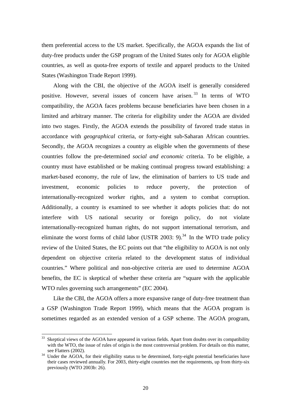them preferential access to the US market. Specifically, the AGOA expands the list of duty-free products under the GSP program of the United States only for AGOA eligible countries, as well as quota-free exports of textile and apparel products to the United States (Washington Trade Report 1999).

Along with the CBI, the objective of the AGOA itself is generally considered positive. However, several issues of concern have arisen. 33 In terms of WTO compatibility, the AGOA faces problems because beneficiaries have been chosen in a limited and arbitrary manner. The criteria for eligibility under the AGOA are divided into two stages. Firstly, the AGOA extends the possibility of favored trade status in accordance with *geographical* criteria, or forty-eight sub-Saharan African countries. Secondly, the AGOA recognizes a country as eligible when the governments of these countries follow the pre-determined *social and economic* criteria. To be eligible, a country must have established or be making continual progress toward establishing: a market-based economy, the rule of law, the elimination of barriers to US trade and investment, economic policies to reduce poverty, the protection of internationally-recognized worker rights, and a system to combat corruption. Additionally, a country is examined to see whether it adopts policies that: do not interfere with US national security or foreign policy, do not violate internationally-recognized human rights, do not support international terrorism, and eliminate the worst forms of child labor (USTR 2003: 9).<sup>34</sup> In the WTO trade policy review of the United States, the EC points out that "the eligibility to AGOA is not only dependent on objective criteria related to the development status of individual countries." Where political and non-objective criteria are used to determine AGOA benefits, the EC is skeptical of whether these criteria are "square with the applicable WTO rules governing such arrangements" (EC 2004).

Like the CBI, the AGOA offers a more expansive range of duty-free treatment than a GSP (Washington Trade Report 1999), which means that the AGOA program is sometimes regarded as an extended version of a GSP scheme. The AGOA program,

Skeptical views of the AGOA have appeared in various fields. Apart from doubts over its compatibility with the WTO, the issue of rules of origin is the most controversial problem. For details on this matter, see Flatters (2002).<br><sup>34</sup> Under the AGOA, for their eligibility status to be determined, forty-eight potential beneficiaries have

their cases reviewed annually. For 2003, thirty-eight countries met the requirements, up from thirty-six previously (WTO 2003b: 26).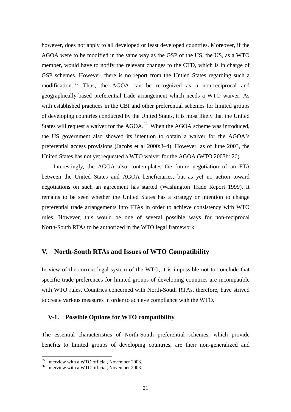however, does not apply to all developed or least developed countries. Moreover, if the AGOA were to be modified in the same way as the GSP of the US, the US, as a WTO member, would have to notify the relevant changes to the CTD, which is in charge of GSP schemes. However, there is no report from the Untied States regarding such a modification.<sup>35</sup> Thus, the AGOA can be recognized as a non-reciprocal and geographically-based preferential trade arrangement which needs a WTO waiver. As with established practices in the CBI and other preferential schemes for limited groups of developing countries conducted by the United States, it is most likely that the United States will request a waiver for the  $AGOA<sup>36</sup>$  When the AGOA scheme was introduced, the US government also showed its intention to obtain a waiver for the AGOA's preferential access provisions (Jacobs et al 2000:3–4). However, as of June 2003, the United States has not yet requested a WTO waiver for the AGOA (WTO 2003b: 26).

Interestingly, the AGOA also contemplates the future negotiation of an FTA between the United States and AGOA beneficiaries, but as yet no action toward negotiations on such an agreement has started (Washington Trade Report 1999). It remains to be seen whether the United States has a strategy or intention to change preferential trade arrangements into FTAs in order to achieve consistency with WTO rules. However, this would be one of several possible ways for non-reciprocal North-South RTAs to be authorized in the WTO legal framework.

## **V. North-South RTAs and Issues of WTO Compatibility**

In view of the current legal system of the WTO, it is impossible not to conclude that specific trade preferences for limited groups of developing countries are incompatible with WTO rules. Countries concerned with North-South RTAs, therefore, have strived to create various measures in order to achieve compliance with the WTO.

## **V-1. Possible Options for WTO compatibility**

The essential characteristics of North-South preferential schemes, which provide benefits to limited groups of developing countries, are their non-generalized and

<sup>&</sup>lt;sup>35</sup> Interview with a WTO official, November 2003.

 $36$  Interview with a WTO official, November 2003.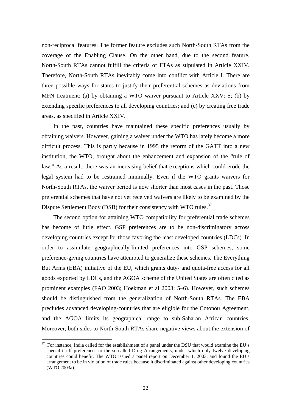non-reciprocal features. The former feature excludes such North-South RTAs from the coverage of the Enabling Clause. On the other hand, due to the second feature, North-South RTAs cannot fulfill the criteria of FTAs as stipulated in Article XXIV. Therefore, North-South RTAs inevitably come into conflict with Article I. There are three possible ways for states to justify their preferential schemes as deviations from MFN treatment: (a) by obtaining a WTO waiver pursuant to Article XXV: 5; (b) by extending specific preferences to all developing countries; and (c) by creating free trade areas, as specified in Article XXIV.

In the past, countries have maintained these specific preferences usually by obtaining waivers. However, gaining a waiver under the WTO has lately become a more difficult process. This is partly because in 1995 the reform of the GATT into a new institution, the WTO, brought about the enhancement and expansion of the "rule of law." As a result, there was an increasing belief that exceptions which could erode the legal system had to be restrained minimally. Even if the WTO grants waivers for North-South RTAs, the waiver period is now shorter than most cases in the past. Those preferential schemes that have not yet received waivers are likely to be examined by the Dispute Settlement Body (DSB) for their consistency with WTO rules.<sup>37</sup>

The second option for attaining WTO compatibility for preferential trade schemes has become of little effect. GSP preferences are to be non-discriminatory across developing countries except for those favoring the least developed countries (LDCs). In order to assimilate geographically-limited preferences into GSP schemes, some preference-giving countries have attempted to generalize these schemes. The Everything But Arms (EBA) initiative of the EU, which grants duty- and quota-free access for all goods exported by LDCs, and the AGOA scheme of the United States are often cited as prominent examples (FAO 2003; Hoekman et al 2003: 5–6). However, such schemes should be distinguished from the generalization of North-South RTAs. The EBA precludes advanced developing-countries that are eligible for the Cotonou Agreement, and the AGOA limits its geographical range to sub-Saharan African countries. Moreover, both sides to North-South RTAs share negative views about the extension of

 $37$  For instance, India called for the establishment of a panel under the DSU that would examine the EU's special tariff preferences to the so-called Drug Arrangements, under which only twelve developing countries could benefit. The WTO issued a panel report on December 1, 2003, and found the EU's arrangement to be in violation of trade rules because it discriminated against other developing countries (WTO 2003a).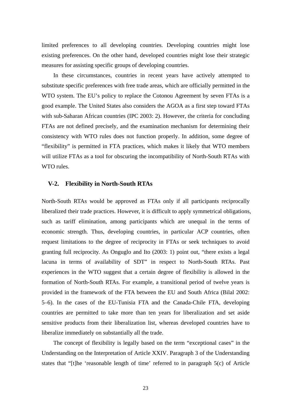limited preferences to all developing countries. Developing countries might lose existing preferences. On the other hand, developed countries might lose their strategic measures for assisting specific groups of developing countries.

In these circumstances, countries in recent years have actively attempted to substitute specific preferences with free trade areas, which are officially permitted in the WTO system. The EU's policy to replace the Cotonou Agreement by seven FTAs is a good example. The United States also considers the AGOA as a first step toward FTAs with sub-Saharan African countries (IPC 2003: 2). However, the criteria for concluding FTAs are not defined precisely, and the examination mechanism for determining their consistency with WTO rules does not function properly. In addition, some degree of "flexibility" is permitted in FTA practices, which makes it likely that WTO members will utilize FTAs as a tool for obscuring the incompatibility of North-South RTAs with WTO rules.

## **V-2. Flexibility in North-South RTAs**

North-South RTAs would be approved as FTAs only if all participants reciprocally liberalized their trade practices. However, it is difficult to apply symmetrical obligations, such as tariff elimination, among participants which are unequal in the terms of economic strength. Thus, developing countries, in particular ACP countries, often request limitations to the degree of reciprocity in FTAs or seek techniques to avoid granting full reciprocity. As Onguglo and Ito (2003: 1) point out, "there exists a legal lacuna in terms of availability of SDT" in respect to North-South RTAs. Past experiences in the WTO suggest that a certain degree of flexibility is allowed in the formation of North-South RTAs. For example, a transitional period of twelve years is provided in the framework of the FTA between the EU and South Africa (Bilal 2002: 5–6). In the cases of the EU-Tunisia FTA and the Canada-Chile FTA, developing countries are permitted to take more than ten years for liberalization and set aside sensitive products from their liberalization list, whereas developed countries have to liberalize immediately on substantially all the trade.

The concept of flexibility is legally based on the term "exceptional cases" in the Understanding on the Interpretation of Article XXIV. Paragraph 3 of the Understanding states that "[t]he 'reasonable length of time' referred to in paragraph 5(c) of Article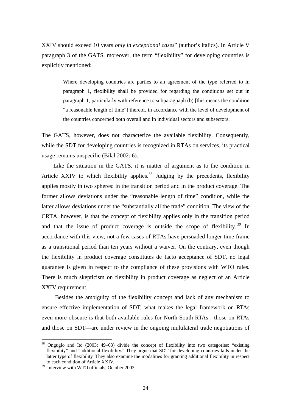XXIV should exceed 10 years *only in exceptional cases*" (author's italics). In Article V paragraph 3 of the GATS, moreover, the term "flexibility" for developing countries is explicitly mentioned:

> Where developing countries are parties to an agreement of the type referred to in paragraph 1, flexibility shall be provided for regarding the conditions set out in paragraph 1, particularly with reference to subparagpaph (b) [this means the condition "a reasonable length of time"] thereof, in accordance with the level of development of the countries concerned both overall and in individual sectors and subsectors.

The GATS, however, does not characterize the available flexibility. Consequently, while the SDT for developing countries is recognized in RTAs on services, its practical usage remains unspecific (Bilal 2002: 6).

Like the situation in the GATS, it is matter of argument as to the condition in Article XXIV to which flexibility applies.<sup>38</sup> Judging by the precedents, flexibility applies mostly in two spheres: in the transition period and in the product coverage. The former allows deviations under the "reasonable length of time" condition, while the latter allows deviations under the "substantially all the trade" condition. The view of the CRTA, however, is that the concept of flexibility applies only in the transition period and that the issue of product coverage is outside the scope of flexibility.<sup>39</sup> In accordance with this view, not a few cases of RTAs have persuaded longer time frame as a transitional period than ten years without a waiver. On the contrary, even though the flexibility in product coverage constitutes de facto acceptance of SDT, no legal guarantee is given in respect to the compliance of these provisions with WTO rules. There is much skepticism on flexibility in product coverage as neglect of an Article XXIV requirement.

Besides the ambiguity of the flexibility concept and lack of any mechanism to ensure effective implementation of SDT, what makes the legal framework on RTAs even more obscure is that both available rules for North-South RTAs—those on RTAs and those on SDT—are under review in the ongoing multilateral trade negotiations of

<sup>&</sup>lt;sup>38</sup> Onguglo and Ito (2003: 49–63) divide the concept of flexibility into two categories: "existing flexibility" and "additional flexibility." They argue that SDT for developing countries falls under the latter type of flexibility. They also examine the modalities for granting additional flexibility in respect to each condition of Article XXIV.

<sup>&</sup>lt;sup>39</sup> Interview with WTO officials, October 2003.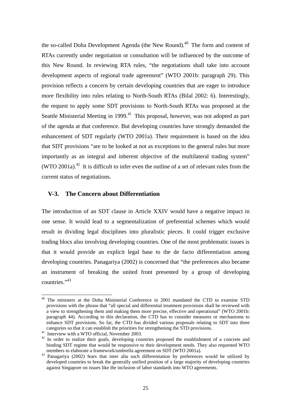the so-called Doha Development Agenda (the New Round).<sup>40</sup> The form and content of RTAs currently under negotiation or consultation will be influenced by the outcome of this New Round. In reviewing RTA rules, "the negotiations shall take into account development aspects of regional trade agreement" (WTO 2001b: paragraph 29). This provision reflects a concern by certain developing countries that are eager to introduce more flexibility into rules relating to North-South RTAs (Bilal 2002: 6). Interestingly, the request to apply some SDT provisions to North-South RTAs was proposed at the Seattle Ministerial Meeting in 1999.<sup>41</sup> This proposal, however, was not adopted as part of the agenda at that conference. But developing countries have strongly demanded the enhancement of SDT regularly (WTO 2001a). Their requirement is based on the idea that SDT provisions "are to be looked at not as exceptions to the general rules but more importantly as an integral and inherent objective of the multilateral trading system" (WTO 2001a).<sup>42</sup> It is difficult to infer even the outline of a set of relevant rules from the current status of negotiations.

## **V-3. The Concern about Differentiation**

The introduction of an SDT clause in Article XXIV would have a negative impact in one sense. It would lead to a segmentalization of preferential schemes which would result in dividing legal disciplines into pluralistic pieces. It could trigger exclusive trading blocs also involving developing countries. One of the most problematic issues is that it would provide an explicit legal base to the de facto differentiation among developing countries. Panagariya (2002) is concerned that "the preferences also became an instrument of breaking the united front presented by a group of developing countries."43

 $\overline{a}$ 

<sup>&</sup>lt;sup>40</sup> The ministers at the Doha Ministerial Conference in 2001 mandated the CTD to examine STD provisions with the phrase that "all special and differential treatment provisions shall be reviewed with a view to strengthening them and making them more precise, effective and operational" (WTO 2001b: paragraph 44). According to this declaration, the CTD has to consider measures or mechanisms to enhance SDT provisions. So far, the CTD has divided various proposals relating to SDT into three categories so that it can establish the priorities for strengthening the STD provisions. 41 Interview with a WTO official, November 2003.

<sup>&</sup>lt;sup>42</sup> In order to realize their goals, developing countries proposed the establishment of a concrete and binding SDT regime that would be responsive to their development needs. They also requested WTO members to elaborate a framework/umbrella agreement on SDT (WTO 2001a).

<sup>&</sup>lt;sup>43</sup> Panagariya (2002) fears that inter alia such differentiation by preferences would be utilized by developed countries to break the generally unified position of a large majority of developing countries against Singapore on issues like the inclusion of labor standards into WTO agreements.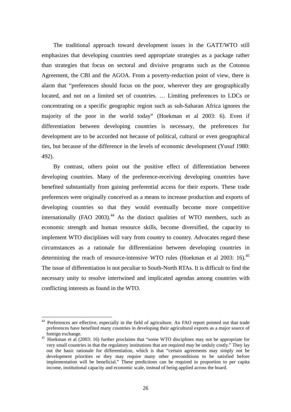The traditional approach toward development issues in the GATT/WTO still emphasizes that developing countries need appropriate strategies as a package rather than strategies that focus on sectoral and divisive programs such as the Cotonou Agreement, the CBI and the AGOA. From a poverty-reduction point of view, there is alarm that "preferences should focus on the poor, wherever they are geographically located, and not on a limited set of countries. … Limiting preferences to LDCs or concentrating on a specific geographic region such as sub-Saharan Africa ignores the majority of the poor in the world today" (Hoekman et al 2003: 6). Even if differentiation between developing countries is necessary, the preferences for development are to be accorded not because of political, cultural or even geographical ties, but because of the difference in the levels of economic development (Yusuf 1980: 492).

By contrast, others point out the positive effect of differentiation between developing countries. Many of the preference-receiving developing countries have benefited substantially from gaining preferential access for their exports. These trade preferences were originally conceived as a means to increase production and exports of developing countries so that they would eventually become more competitive internationally  $(FAO 2003)$ <sup>44</sup> As the distinct qualities of WTO members, such as economic strength and human resource skills, become diversified, the capacity to implement WTO disciplines will vary from country to country. Advocates regard these circumstances as a rationale for differentiation between developing countries in determining the reach of resource-intensive WTO rules (Hoekman et al  $2003$ : 16).<sup>45</sup> The issue of differentiation is not peculiar to South-North RTAs. It is difficult to find the necessary unity to resolve intertwined and implicated agendas among countries with conflicting interests as found in the WTO.

<sup>&</sup>lt;sup>44</sup> Preferences are effective, especially in the field of agriculture. An FAO report pointed out that trade preferences have benefited many countries in developing their agricultural exports as a major source of

foreign exchange. 45 Hoekman et al (2003: 16) further proclaims that "some WTO disciplines may not be appropriate for very small countries in that the regulatory institutions that are required may be unduly costly." They lay out the basic rationale for differentiation, which is that "certain agreements may simply not be development priorities or they may require many other preconditions to be satisfied before implementation will be beneficial." These predictions can be required in proportion to per capita income, institutional capacity and economic scale, instead of being applied across the board.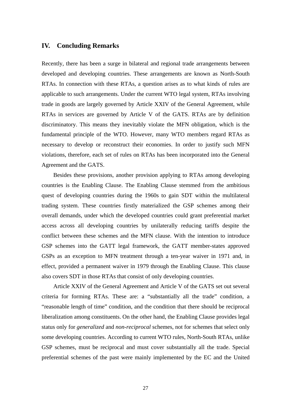## **IV. Concluding Remarks**

Recently, there has been a surge in bilateral and regional trade arrangements between developed and developing countries. These arrangements are known as North-South RTAs. In connection with these RTAs, a question arises as to what kinds of rules are applicable to such arrangements. Under the current WTO legal system, RTAs involving trade in goods are largely governed by Article XXIV of the General Agreement, while RTAs in services are governed by Article V of the GATS. RTAs are by definition discriminatory. This means they inevitably violate the MFN obligation, which is the fundamental principle of the WTO. However, many WTO members regard RTAs as necessary to develop or reconstruct their economies. In order to justify such MFN violations, therefore, each set of rules on RTAs has been incorporated into the General Agreement and the GATS.

Besides these provisions, another provision applying to RTAs among developing countries is the Enabling Clause. The Enabling Clause stemmed from the ambitious quest of developing countries during the 1960s to gain SDT within the multilateral trading system. These countries firstly materialized the GSP schemes among their overall demands, under which the developed countries could grant preferential market access across all developing countries by unilaterally reducing tariffs despite the conflict between these schemes and the MFN clause. With the intention to introduce GSP schemes into the GATT legal framework, the GATT member-states approved GSPs as an exception to MFN treatment through a ten-year waiver in 1971 and, in effect, provided a permanent waiver in 1979 through the Enabling Clause. This clause also covers SDT in those RTAs that consist of only developing countries.

Article XXIV of the General Agreement and Article V of the GATS set out several criteria for forming RTAs. These are: a "substantially all the trade" condition, a "reasonable length of time" condition, and the condition that there should be reciprocal liberalization among constituents. On the other hand, the Enabling Clause provides legal status only for *generalized* and *non-reciprocal* schemes, not for schemes that select only some developing countries. According to current WTO rules, North-South RTAs, unlike GSP schemes, must be reciprocal and must cover substantially all the trade. Special preferential schemes of the past were mainly implemented by the EC and the United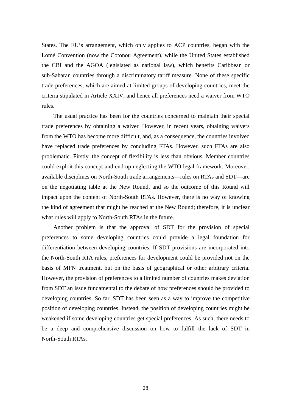States. The EU's arrangement, which only applies to ACP countries, began with the Lomé Convention (now the Cotonou Agreement), while the United States established the CBI and the AGOA (legislated as national law), which benefits Caribbean or sub-Saharan countries through a discriminatory tariff measure. None of these specific trade preferences, which are aimed at limited groups of developing countries, meet the criteria stipulated in Article XXIV, and hence all preferences need a waiver from WTO rules.

The usual practice has been for the countries concerned to maintain their special trade preferences by obtaining a waiver. However, in recent years, obtaining waivers from the WTO has become more difficult, and, as a consequence, the countries involved have replaced trade preferences by concluding FTAs. However, such FTAs are also problematic. Firstly, the concept of flexibility is less than obvious. Member countries could exploit this concept and end up neglecting the WTO legal framework. Moreover, available disciplines on North-South trade arrangements—rules on RTAs and SDT—are on the negotiating table at the New Round, and so the outcome of this Round will impact upon the content of North-South RTAs. However, there is no way of knowing the kind of agreement that might be reached at the New Round; therefore, it is unclear what rules will apply to North-South RTAs in the future.

Another problem is that the approval of SDT for the provision of special preferences to some developing countries could provide a legal foundation for differentiation between developing countries. If SDT provisions are incorporated into the North-South RTA rules, preferences for development could be provided not on the basis of MFN treatment, but on the basis of geographical or other arbitrary criteria. However, the provision of preferences to a limited number of countries makes deviation from SDT an issue fundamental to the debate of how preferences should be provided to developing countries. So far, SDT has been seen as a way to improve the competitive position of developing countries. Instead, the position of developing countries might be weakened if some developing countries get special preferences. As such, there needs to be a deep and comprehensive discussion on how to fulfill the lack of SDT in North-South RTAs.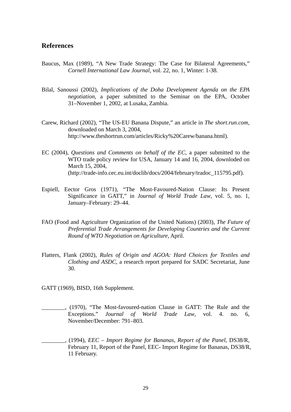## **References**

- Baucus, Max (1989), "A New Trade Strategy: The Case for Bilateral Agreements," *Cornell International Law Journal*, vol. 22, no. 1, Winter: 1-38.
- Bilal, Sanoussi (2002), *Implications of the Doha Development Agenda on the EPA negotiation*, a paper submitted to the Seminar on the EPA, October 31–November 1, 2002, at Lusaka, Zambia.
- Carew, Richard (2002), "The US-EU Banana Dispute," an article in *The short.run.com*, downloaded on March 3, 2004, http://www.theshortrun.com/articles/Ricky%20Carew/banana.html).
- EC (2004), *Questions and Comments on behalf of the EC*, a paper submitted to the WTO trade policy review for USA, January 14 and 16, 2004, downloded on March 15, 2004, (http://trade-info.cec.eu.int/doclib/docs/2004/february/tradoc\_115795.pdf).
- Espiell, Eector Gros (1971), "The Most-Favoured-Nation Clause: Its Present Significance in GATT," in *Journal of World Trade Law*, vol. 5, no. 1, January–February: 29–44.
- FAO (Food and Agriculture Organization of the United Nations) (2003), *The Future of Preferential Trade Arrangements for Developing Countries and the Current Round of WTO Negotiation on Agriculture*, April.
- Flatters, Flank (2002), *Rules of Origin and AGOA: Hard Choices for Textiles and Clothing and ASDC*, a research report prepared for SADC Secretariat, June 30.

GATT (1969), BISD, 16th Supplement.

- \_\_\_\_\_\_\_\_, (1970), "The Most-favoured-nation Clause in GATT: The Rule and the Exceptions." *Journal of World Trade Law*, vol. 4. no. 6, November/December: 791–803.
- \_\_\_\_\_\_\_\_, (1994), *EEC Import Regime for Bananas, Report of the Panel*, DS38/R, February 11, Report of the Panel, EEC- Import Regime for Bananas, DS38/R, 11 February.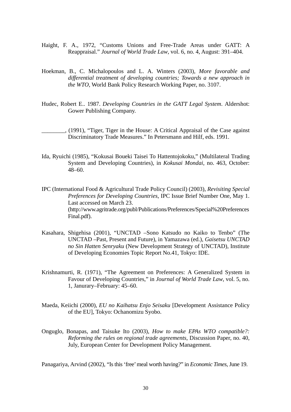- Haight, F. A., 1972, "Customs Unions and Free-Trade Areas under GATT: A Reappraisal." *Journal of World Trade Law*, vol. 6, no. 4, August: 391–404.
- Hoekman, B., C. Michalopoulos and L. A. Winters (2003), *More favorable and differential treatment of developing countries; Towards a new approach in the WTO*, World Bank Policy Research Working Paper, no. 3107.
- Hudec, Robert E.. 1987. *Developing Countries in the GATT Legal System*. Aldershot: Gower Publishing Company.
- \_\_\_\_\_\_\_\_, (1991), "Tiger, Tiger in the House: A Critical Appraisal of the Case against Discriminatory Trade Measures." In Petersmann and Hilf, eds. 1991.
- Ida, Ryuichi (1985), "Kokusai Boueki Taisei To Hattentojokoku," (Multilateral Trading System and Developing Countries), in *Kokusai Mondai*, no. 463, October: 48–60.
- IPC (International Food & Agricultural Trade Policy Council) (2003), *Revisiting Special Preferences for Developing Countries*, IPC Issue Brief Number One, May 1. Last accessed on March 23. (http://www.agritrade.org/publ/Publications/Preferences/Special%20Preferences Final.pdf).
- Kasahara, Shigehisa (2001), "UNCTAD –Sono Katsudo no Kaiko to Tenbo" (The UNCTAD –Past, Present and Future), in Yamazawa (ed.), *Gaisetsu UNCTAD no Sin Hatten Senryaku* (New Development Strategy of UNCTAD), Institute of Developing Economies Topic Report No.41, Tokyo: IDE.
- Krishnamurti, R. (1971), "The Agreement on Preferences: A Generalized System in Favour of Developing Countries," in *Journal of World Trade Law*, vol. 5, no. 1, Janurary–February: 45–60.
- Maeda, Keiichi (2000), *EU no Kaihatsu Enjo Seisaku* [Development Assistance Policy of the EU], Tokyo: Ochanomizu Syobo.
- Onguglo, Bonapas, and Taisuke Ito (2003), *How to make EPAs WTO compatible?: Reforming the rules on regional trade agreements*, Discussion Paper, no. 40, July, European Center for Development Policy Management.

Panagariya, Arvind (2002), "Is this 'free' meal worth having?" in *Economic Times*, June 19.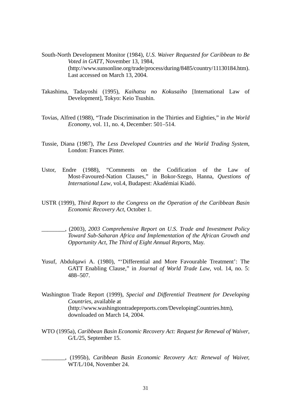- South-North Development Monitor (1984), *U.S. Waiver Requested for Caribbean to Be Voted in GATT*, November 13, 1984, (http://www.sunsonline.org/trade/process/during/8485/country/11130184.htm). Last accessed on March 13, 2004.
- Takashima, Tadayoshi (1995), *Kaihatsu no Kokusaiho* [International Law of Development], Tokyo: Keio Tsushin.
- Tovias, Alfred (1988), "Trade Discrimination in the Thirties and Eighties," in *the World Economy*, vol. 11, no. 4, December: 501–514.
- Tussie, Diana (1987), *The Less Developed Countries and the World Trading System*, London: Frances Pinter.
- Ustor, Endre (1988), "Comments on the Codification of the Law of Most-Favoured-Nation Clauses," in Bokor-Szego, Hanna, *Questions of International Law*, vol.4, Budapest: Akadémiai Kiadó.
- USTR (1999), *Third Report to the Congress on the Operation of the Caribbean Basin Economic Recovery Act*, October 1.
- \_\_\_\_\_\_\_\_, (2003), *2003 Comprehensive Report on U.S. Trade and Investment Policy Toward Sub-Saharan Africa and Implementation of the African Growth and Opportunity Act, The Third of Eight Annual Reports*, May.
- Yusuf, Abdulqawi A. (1980), "'Differential and More Favourable Treatment': The GATT Enabling Clause," in *Journal of World Trade Law*, vol. 14, no. 5: 488–507.
- Washington Trade Report (1999), *Special and Differential Treatment for Developing Countries*, available at (http://www.washingtontradepreports.com/DevelopingCountries.htm), downloaded on March 14, 2004.
- WTO (1995a), *Caribbean Basin Economic Recovery Act: Request for Renewal of Waiver*, G/L/25, September 15.
- \_\_\_\_\_\_\_\_, (1995b), *Caribbean Basin Economic Recovery Act: Renewal of Waiver,*  WT/L/104, November 24.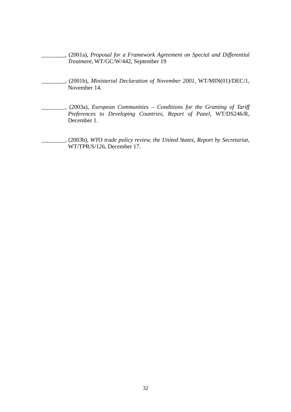\_\_\_\_\_\_\_\_, (2001a), *Proposal for a Framework Agreement on Special and Differential Treatment*, WT/GC/W/442, September 19

- \_\_\_\_\_\_\_\_, (2001b), *Ministerial Declaration of November 2001*, WT/MIN(01)/DEC/1, November 14.
- \_\_\_\_\_\_\_\_, (2003a), *European Communities Conditions for the Granting of Tariff Preferences to Developing Countries, Report of Panel*, WT/DS246/R, December 1.
- \_\_\_\_\_\_\_\_, (2003b), *WTO trade policy review, the United States, Report by Secretariat*, WT/TPR/S/126, December 17.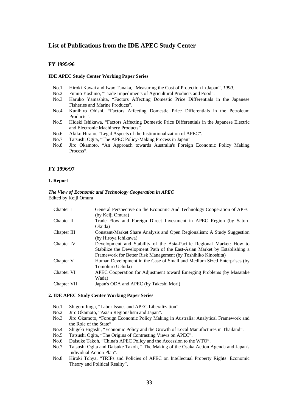## **List of Publications from the IDE APEC Study Center**

#### **FY 1995/96**

#### **IDE APEC Study Center Working Paper Series**

- No.1 Hiroki Kawai and Iwao Tanaka, "Measuring the Cost of Protection in Japan"*, 1990*.
- No.2 Fumio Yoshino, "Trade Impediments of Agricultural Products and Food".
- No.3 Haruko Yamashita, "Factors Affecting Domestic Price Differentials in the Japanese Fisheries and Marine Products".
- No.4 Kunihiro Ohishi, "Factors Affecting Domestic Price Differentials in the Petroleum Products".
- No.5 Hideki Ishikawa, "Factors Affecting Domestic Price Differentials in the Japanese Electric and Electronic Machinery Products".
- No.6 Akiko Hirano, "Legal Aspects of the Institutionalization of APEC".
- No.7 Tatsushi Ogita, "The APEC Policy-Making Process in Japan".
- No.8 Jiro Okamoto, "An Approach towards Australia's Foreign Economic Policy Making Process".

#### **FY 1996/97**

#### **1. Report**

#### *The View of Economic and Technology Cooperation in APEC*  Edited by Keiji Omura

| Chapter I   | General Perspective on the Economic And Technology Cooperation of APEC    |
|-------------|---------------------------------------------------------------------------|
|             | (by Keiji Omura)                                                          |
| Chapter II  | Trade Flow and Foreign Direct Investment in APEC Region (by Satoru        |
|             | Okuda)                                                                    |
| Chapter III | Constant-Market Share Analysis and Open Regionalism: A Study Suggestion   |
|             | (by Hiroya Ichikawa)                                                      |
| Chapter IV  | Development and Stability of the Asia-Pacific Regional Market: How to     |
|             | Stabilize the Development Path of the East-Asian Market by Establishing a |
|             | Framework for Better Risk Management (by Toshihiko Kinoshita)             |
| Chapter V   | Human Development in the Case of Small and Medium Sized Enterprises (by   |
|             | Tomohiro Uchida)                                                          |
| Chapter VI  | APEC Cooperation for Adjustment toward Emerging Problems (by Masatake)    |
|             | Wada)                                                                     |
| Chapter VII | Japan's ODA and APEC (by Takeshi Mori)                                    |
|             |                                                                           |

#### **2. IDE APEC Study Center Working Paper Series**

- No.1 Shigeru Itoga, "Labor Issues and APEC Liberalization".
- No.2 Jiro Okamoto, "Asian Regionalism and Japan".
- No.3 Jiro Okamoto, "Foreign Economic Policy Making in Australia: Analytical Framework and the Role of the State".
- No.4 Shigeki Higashi, "Economic Policy and the Growth of Local Manufactures in Thailand".
- No.5 Tatsushi Ogita, "The Origins of Contrasting Views on APEC".
- No.6 Daisuke Takoh, "China's APEC Policy and the Accession to the WTO".
- No.7 Tatsushi Ogita and Daisuke Takoh, " The Making of the Osaka Action Agenda and Japan's Individual Action Plan".
- No.8 Hiroki Tohya, "TRIPs and Policies of APEC on Intellectual Property Rights: Economic Theory and Political Reality".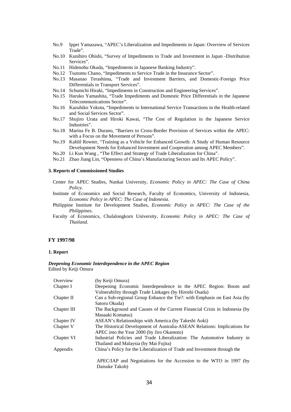- No.9 Ippei Yamazawa, "APEC's Liberalization and Impediments in Japan: Overview of Services Trade".
- No.10 Kunihiro Ohishi, "Survey of Impediments to Trade and Investment in Japan -Distribution Services".
- No.11 Hidenobu Okuda, "Impediments in Japanese Banking Industry".
- No.12 Tsutomu Chano, "Impediments to Service Trade in the Insurance Sector".
- No.13 Masanao Terashima, "Trade and Investment Barriers, and Domestic-Foreign Price Differentials in Transport Services".
- No.14 Schunichi Hiraki, "Impediments in Construction and Engineering Services".
- No.15 Haruko Yamashita, "Trade Impediments and Domestic Price Differentials in the Japanese Telecommunications Sector".
- No.16 Kazuhiko Yokota, "Impediments to International Service Transactions in the Health-related and Social Services Sector".
- No.17 Shujiro Urata and Hiroki Kawai, "The Cost of Regulation in the Japanese Service Industries".
- No.18 Marina Fe B. Durano, "Barriers to Cross-Border Provision of Services within the APEC: with a Focus on the Movement of Persons".
- No.19 Kahlil Rowter, "Training as a Vehicle for Enhanced Growth: A Study of Human Resource Development Needs for Enhanced Investment and Cooperation among APEC Members".
- No.20 Li Kun Wang , "The Effect and Strategy of Trade Liberalization for China".
- No.21 Zhao Jiang Lin, "Openness of China's Manufacturing Sectors and Its APEC Policy".

## **3. Reports of Commissioned Studies**

- Center for APEC Studies, Nankai University, *Economic Policy in APEC: The Case of China Policy*.
- Institute of Economics and Social Research, Faculty of Economics, University of Indonesia, *Economic Policy in APEC: The Case of Indonesia*.
- Philippine Institute for Development Studies, *Economic Policy in APEC: The Case of the Philippines*.
- Faculty of Economics, Chulalongkorn University, *Economic Policy in APEC: The Case of Thailand*.

#### **FY 1997/98**

#### **1. Report**

#### *Deepening Economic Interdependence in the APEC Region*  Edited by Keiji Omura

| Overview    | (by Keiji Omura)                                                                     |
|-------------|--------------------------------------------------------------------------------------|
| Chapter I   | Deepening Economic Interdependence in the APEC Region: Boom and                      |
|             | Vulnerability through Trade Linkages (by Hiroshi Osada)                              |
| Chapter II  | Can a Sub-regional Group Enhance the Tie?: with Emphasis on East Asia (by            |
|             | Satoru Okuda)                                                                        |
| Chapter III | The Background and Causes of the Current Financial Crisis in Indonesia (by           |
|             | Masaaki Komatsu)                                                                     |
| Chapter IV  | ASEAN's Relationships with America (by Takeshi Aoki)                                 |
| Chapter V   | The Historical Development of Australia-ASEAN Relations: Implications for            |
|             | APEC into the Year 2000 (by Jiro Okamoto)                                            |
| Chapter VI  | Industrial Policies and Trade Liberalization: The Automotive Industry in             |
|             | Thailand and Malaysia (by Mai Fujita)                                                |
| Appendix    | China's Policy for the Liberalization of Trade and Investment through the            |
|             |                                                                                      |
|             |                                                                                      |
|             | APEC/IAP and Negotiations for the Accession to the WTO in 1997 (by<br>Daisuke Takoh) |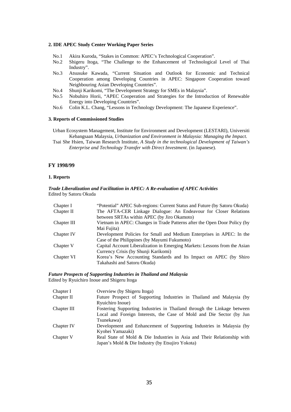#### **2. IDE APEC Study Center Working Paper Series**

- No.1 Akira Kuroda, "Stakes in Common: APEC's Technological Cooperation".
- No.2 Shigeru Itoga, "The Challenge to the Enhancement of Technological Level of Thai Industry".
- No.3 Atsusuke Kawada, "Current Situation and Outlook for Economic and Technical Cooperation among Developing Countries in APEC: Singapore Cooperation toward Neighbouring Asian Developing Countries".
- No.4 Shunji Karikomi, "The Development Strategy for SMEs in Malaysia".
- No.5 Nobuhiro Horii, "APEC Cooperation and Strategies for the Introduction of Renewable Energy into Developing Countries".
- No.6 Colin K.L. Chang, "Lessons in Technology Development: The Japanese Experience".

#### **3. Reports of Commissioned Studies**

Urban Ecosystem Management, Institute for Environment and Development (LESTARI), Universiti Kebangsaan Malaysia, *Urbanization and Environment in Malaysia: Managing the Impact*.

Tsai She Hsien, Taiwan Research Institute, *A Study in the technological Development of Taiwan's Enterprise and Technology Transfer with Direct Investment*. (in Japanese).

#### **FY 1998/99**

#### **1. Reports**

#### *Trade Liberalization and Facilitation in APEC: A Re-evaluation of APEC Activities*  Edited by Satoru Okuda

| Chapter I   | "Potential" APEC Sub-regions: Current Status and Future (by Satoru Okuda)  |
|-------------|----------------------------------------------------------------------------|
| Chapter II  | The AFTA-CER Linkage Dialogue: An Endeavour for Closer Relations           |
|             | between SRTAs within APEC (by Jiro Okamoto)                                |
| Chapter III | Vietnam in APEC: Changes in Trade Patterns after the Open Door Policy (by  |
|             | Mai Fujita)                                                                |
| Chapter IV  | Development Policies for Small and Medium Enterprises in APEC: In the      |
|             | Case of the Philippines (by Mayumi Fukumoto)                               |
| Chapter V   | Capital Account Liberalization in Emerging Markets: Lessons from the Asian |
|             | Currency Crisis (by Shunji Karikomi)                                       |
| Chapter VI  | Korea's New Accounting Standards and Its Impact on APEC (by Shiro          |
|             | Takahashi and Satoru Okuda)                                                |

#### *Future Prospects of Supporting Industries in Thailand and Malaysia*  Edited by Ryuichiro Inoue and Shigeru Itoga

Chapter I Overview (by Shigeru Itoga) Chapter II Future Prospect of Supporting Industries in Thailand and Malaysia (by Ryuichiro Inoue) Chapter III Fostering Supporting Industries in Thailand through the Linkage between Local and Foreign Interests, the Case of Mold and Die Sector (by Jun Tsunekawa) Chapter IV Development and Enhancement of Supporting Industries in Malaysia (by Kyohei Yamazaki) Chapter V Real State of Mold & Die Industries in Asia and Their Relationship with Japan's Mold & Die Industry (by Etsujiro Yokota)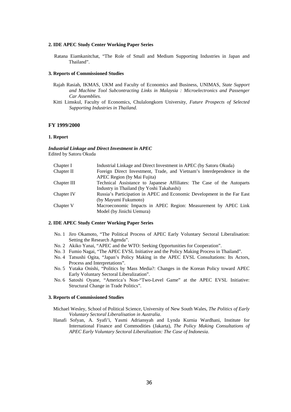#### **2. IDE APEC Study Center Working Paper Series**

Ratana Eiamkanitchat, "The Role of Small and Medium Supporting Industries in Japan and Thailand".

#### **3. Reports of Commissioned Studies**

- Rajah Rasiah, IKMAS, UKM and Faculty of Economics and Business, UNIMAS*, State Support and Machine Tool Subcontracting Links in Malaysia : Microelectronics and Passenger Car Assemblies.*
- Kitti Limskul, Faculty of Economics, Chulalongkorn University*, Future Prospects of Selected Supporting Industries in Thailand.*

#### **FY 1999/2000**

#### **1. Report**

*Industrial Linkage and Direct Investment in APEC*  Edited by Satoru Okuda

| Chapter I   | Industrial Linkage and Direct Investment in APEC (by Satoru Okuda)      |
|-------------|-------------------------------------------------------------------------|
| Chapter II  | Foreign Direct Investment, Trade, and Vietnam's Interdependence in the  |
|             | APEC Region (by Mai Fujita)                                             |
| Chapter III | Technical Assistance to Japanese Affiliates: The Case of the Autoparts  |
|             | Industry in Thailand (by Yoshi Takahashi)                               |
| Chapter IV  | Russia's Participation in APEC and Economic Development in the Far East |
|             | (by Mayumi Fukumoto)                                                    |
| Chapter V   | Macroeconomic Impacts in APEC Region: Measurement by APEC Link          |
|             | Model (by Jinichi Uemura)                                               |
|             |                                                                         |

#### **2. IDE APEC Study Center Working Paper Series**

- No. 1 Jiro Okamoto, "The Political Process of APEC Early Voluntary Sectoral Liberalisation: Setting the Research Agenda".
- No. 2 Akiko Yanai, "APEC and the WTO: Seeking Opportunities for Cooperation".
- No. 3 Fumio Nagai, "The APEC EVSL Initiative and the Policy Making Process in Thailand".
- No. 4 Tatsushi Ogita, "Japan's Policy Making in the APEC EVSL Consultations: Its Actors, Process and Interpretations".
- No. 5 Yutaka Onishi, "Politics by Mass Media?: Changes in the Korean Policy toward APEC Early Voluntary Sectoral Liberalization".
- No. 6 Satoshi Oyane, "America's Non-"Two-Level Game" at the APEC EVSL Initiative: Structural Change in Trade Politics".

#### **3. Reports of Commissioned Studies**

- Michael Wesley, School of Political Science, University of New South Wales, *The Politics of Early Voluntary Sectoral Liberalisation in Australia*.
- Hanafi Sofyan, A. Syafi'i, Yasmi Adriansyah and Lynda Kurnia Wardhani, Institute for International Finance and Commodities (Jakarta), *The Policy Making Consultations of APEC Early Voluntary Sectoral Liberalization: The Case of Indonesia*.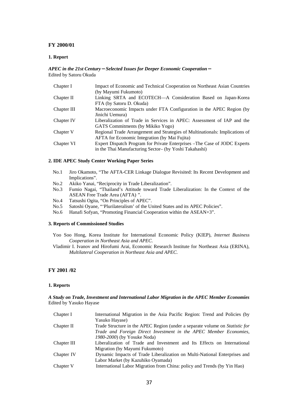#### **FY 2000/01**

#### **1. Report**

#### *APEC in the 21st Century*-*Selected Issues for Deeper Economic Cooperation*- Edited by Satoru Okuda

| Chapter I   | Impact of Economic and Technical Cooperation on Northeast Asian Countries    |
|-------------|------------------------------------------------------------------------------|
|             | (by Mayumi Fukumoto)                                                         |
| Chapter II  | Linking SRTA and ECOTECH-A Consideration Based on Japan-Korea                |
|             | FTA (by Satoru D. Okuda)                                                     |
| Chapter III | Macroeconomic Impacts under FTA Configuration in the APEC Region (by         |
|             | Jinichi Uemura)                                                              |
| Chapter IV  | Liberalization of Trade in Services in APEC: Assessment of IAP and the       |
|             | GATS Commitments (by Mikiko Yogo)                                            |
| Chapter V   | Regional Trade Arrangement and Strategies of Multinationals: Implications of |
|             | <b>AFTA</b> for Economic Integration (by Mai Fujita)                         |
| Chapter VI  | Expert Dispatch Program for Private Enterprises – The Case of JODC Experts   |
|             | in the Thai Manufacturing Sector- (by Yoshi Takahashi)                       |

#### **2. IDE APEC Study Center Working Paper Series**

- No.1 Jiro Okamoto, "The AFTA-CER Linkage Dialogue Revisited: Its Recent Development and Implications".
- No.2 Akiko Yanai, "Reciprocity in Trade Liberalization".
- No.3 Fumio Nagai, "Thailand's Attitude toward Trade Liberalization: In the Context of the ASEAN Free Trade Area (AFTA) ".
- No.4 Tatsushi Ogita, "On Principles of APEC".
- No.5 Satoshi Oyane, "'Plurilateralism' of the United States and its APEC Policies".
- No.6 Hanafi Sofyan, "Promoting Financial Cooperation within the ASEAN+3".

#### **3. Reports of Commissioned Studies**

- Yoo Soo Hong, Korea Institute for International Economic Policy (KIEP), *Internet Business Cooperation in Northeast Asia and APEC*.
- Vladimir I. Ivanov and Hirofumi Arai, Economic Research Institute for Northeast Asia (ERINA), *Multilateral Cooperation in Northeast Asia and APEC*.

## **FY 2001 /02**

#### **1. Reports**

#### *A Study on Trade, Investment and International Labor Migration in the APEC Member Economies*  Edited by Yasuko Hayase

| Chapter I   | International Migration in the Asia Pacific Region: Trend and Policies (by   |
|-------------|------------------------------------------------------------------------------|
|             | Yasuko Hayase)                                                               |
| Chapter II  | Trade Structure in the APEC Region (under a separate volume on Statistic for |
|             | Trade and Foreign Direct Investment in the APEC Member Economies,            |
|             | 1980-2000) (by Yosuke Noda)                                                  |
| Chapter III | Liberalization of Trade and Investment and Its Effects on International      |
|             | Migration (by Mayumi Fukumoto)                                               |
| Chapter IV  | Dynamic Impacts of Trade Liberalization on Multi-National Enterprises and    |
|             | Labor Market (by Kazuhiko Oyamada)                                           |
| Chapter V   | International Labor Migration from China: policy and Trends (by Yin Hao)     |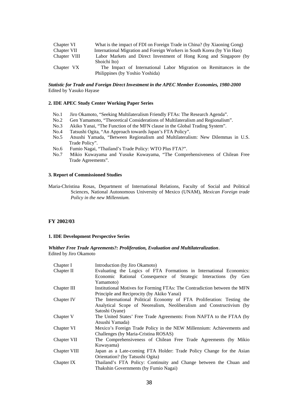| Chapter VI   | What is the impact of FDI on Foreign Trade in China? (by Xiaoning Gong) |
|--------------|-------------------------------------------------------------------------|
| Chapter VII  | International Migration and Foreign Workers in South Korea (by Yin Hao) |
| Chapter VIII | Labor Markets and Direct Investment of Hong Kong and Singapore (by      |
|              | Shoichi Ito)                                                            |
| Chapter VX   | The Impact of International Labor Migration on Remittances in the       |
|              | Philippines (by Yoshio Yoshida)                                         |

#### *Statistic for Trade and Foreign Direct Investment in the APEC Member Economies, 1980-2000*  Edited by Yasuko Hayase

#### **2. IDE APEC Study Center Working Paper Series**

- No.1 Jiro Okamoto, "Seeking Multilateralism Friendly FTAs: The Research Agenda".
- No.2 Gen Yamamoto, "Theoretical Considerations of Multilateralism and Regionalism".
- No.3 Akiko Yanai, "The Function of the MFN clause in the Global Trading System".
- No.4 Tatsushi Ogita, "An Approach towards Japan's FTA Policy".
- No.5 Atsushi Yamada, "Between Regionalism and Multilateralism: New Dilemmas in U.S. Trade Policy".
- No.6 Fumio Nagai, "Thailand's Trade Policy: WTO Plus FTA?".
- No.7 Mikio Kuwayama and Yusuke Kuwayama, "The Comprehensiveness of Chilean Free Trade Agreements".

#### **3. Report of Commissioned Studies**

Maria-Christina Rosas, Department of International Relations, Faculty of Social and Political Sciences, National Autonomous University of Mexico (UNAM), *Mexican Foreign trade Policy in the new Millennium.*

#### **FY 2002/03**

#### **1. IDE Development Perspective Series**

*Whither Free Trade Agreements?: Proliferation, Evaluation and Multilateralization*. Edited by Jiro Okamoto

| Chapter I    | Introduction (by Jiro Okamoto)                                            |
|--------------|---------------------------------------------------------------------------|
| Chapter II   | Evaluating the Logics of FTA Formations in International Economics:       |
|              | Economic Rational Consequence of Strategic Interactions (by Gen           |
|              | Yamamoto)                                                                 |
| Chapter III  | Institutional Motives for Forming FTAs: The Contradiction between the MFN |
|              | Principle and Reciprocity (by Akiko Yanai)                                |
| Chapter IV   | The International Political Economy of FTA Proliferation: Testing the     |
|              | Analytical Scope of Neorealism, Neoliberalism and Constructivism (by      |
|              | Satoshi Oyane)                                                            |
| Chapter V    | The United States' Free Trade Agreements: From NAFTA to the FTAA (by      |
|              | Atsushi Yamada)                                                           |
| Chapter VI   | Mexico's Foreign Trade Policy in the NEW Millennium: Achievements and     |
|              | Challenges (by Maria-Cristina ROSAS)                                      |
| Chapter VII  | The Comprehensiveness of Chilean Free Trade Agreements (by Mikio          |
|              | Kuwayama)                                                                 |
| Chapter VIII | Japan as a Late-coming FTA Holder: Trade Policy Change for the Asian      |
|              | Orientation? (by Tatsushi Ogita)                                          |
| Chapter IX   | Thailand's FTA Policy: Continuity and Change between the Chuan and        |
|              | Thakshin Governments (by Fumio Nagai)                                     |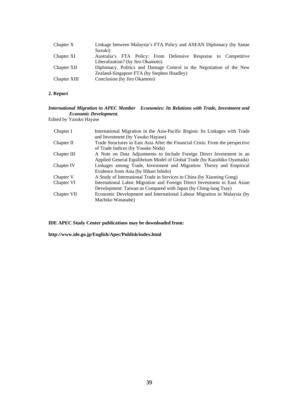| Chapter X    | Linkage between Malaysia's FTA Policy and ASEAN Diplomacy (by Sanae<br>Suzuki)                      |
|--------------|-----------------------------------------------------------------------------------------------------|
| Chapter XI   | Australia's FTA Policy: From Defensive Response to Competitive<br>Liberalization? (by Jiro Okamoto) |
| Chapter XII  | Diplomacy, Politics and Damage Control in the Negotiation of the New                                |
|              | Zealand-Singapore FTA (by Stephen Hoadley)                                                          |
| Chapter XIII | Conclusion (by Jiro Okamoto)                                                                        |

## **2. Report**

## *International Migration in APEC Member Economies: Its Relations with Trade, Investment and Economic Development.*

Edited by Yasuko Hayase

| Chapter I   | International Migration in the Asia-Pacific Region: Its Linkages with Trade    |
|-------------|--------------------------------------------------------------------------------|
|             | and Investment (by Yasuko Hayase)                                              |
| Chapter II  | Trade Structures in East Asia After the Financial Crisis: From the perspective |
|             | of Trade Indices (by Yosuke Noda)                                              |
| Chapter III | A Note on Data Adjustments to Include Foreign Direct Investment in an          |
|             | Applied General Equilibrium Model of Global Trade (by Kazuhiko Oyamada)        |
| Chapter IV  | Linkages among Trade, Investment and Migration: Theory and Empirical           |
|             | Evidence from Asia (by Hikari Ishido)                                          |
| Chapter V   | A Study of International Trade in Services in China (by Xiaoning Gong)         |
| Chapter VI  | International Labor Migration and Foreign Direct Investment in East Asian      |
|             | Development: Taiwan as Compared with Japan (by Ching-lung Tsay)                |
| Chapter VII | Economic Development and International Labour Migration in Malaysia (by        |
|             | Machiko Watanabe)                                                              |

**IDE APEC Study Center publications may be downloaded from:** 

**http://www.ide.go.jp/English/Apec/Publish/index.html**